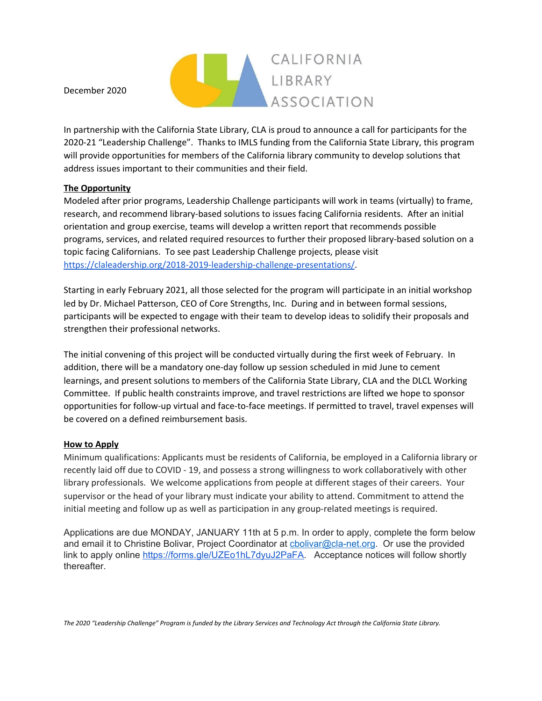

December 2020

In partnership with the California State Library, CLA is proud to announce a call for participants for the 2020-21 "Leadership Challenge". Thanks to IMLS funding from the California State Library, this program will provide opportunities for members of the California library community to develop solutions that address issues important to their communities and their field.

## **The Opportunity**

Modeled after prior programs, Leadership Challenge participants will work in teams (virtually) to frame, research, and recommend library-based solutions to issues facing California residents. After an initial orientation and group exercise, teams will develop a written report that recommends possible programs, services, and related required resources to further their proposed library-based solution on a topic facing Californians. To see past Leadership Challenge projects, please visit <https://claleadership.org/2018-2019-leadership-challenge-presentations/>.

Starting in early February 2021, all those selected for the program will participate in an initial workshop led by Dr. Michael Patterson, CEO of Core Strengths, Inc. During and in between formal sessions, participants will be expected to engage with their team to develop ideas to solidify their proposals and strengthen their professional networks.

The initial convening of this project will be conducted virtually during the first week of February. In addition, there will be a mandatory one-day follow up session scheduled in mid June to cement learnings, and present solutions to members of the California State Library, CLA and the DLCL Working Committee. If public health constraints improve, and travel restrictions are lifted we hope to sponsor opportunities for follow-up virtual and face-to-face meetings. If permitted to travel, travel expenses will be covered on a defined reimbursement basis.

## **How to Apply**

Minimum qualifications: Applicants must be residents of California, be employed in a California library or recently laid off due to COVID - 19, and possess a strong willingness to work collaboratively with other library professionals. We welcome applications from people at different stages of their careers. Your supervisor or the head of your library must indicate your ability to attend. Commitment to attend the initial meeting and follow up as well as participation in any group-related meetings is required.

Applications are due MONDAY, JANUARY 11th at 5 p.m. In order to apply, complete the form below and email it to Christine Bolivar, Project Coordinator at [cbolivar@cla-net.org](mailto:cbolivar@cla-net.org). Or use the provided link to apply online [https://forms.gle/UZEo1hL7dyuJ2PaFA.](https://forms.gle/UZEo1hL7dyuJ2PaFA) Acceptance notices will follow shortly thereafter.

The 2020 "Leadership Challenge" Program is funded by the Library Services and Technology Act through the California State Library.